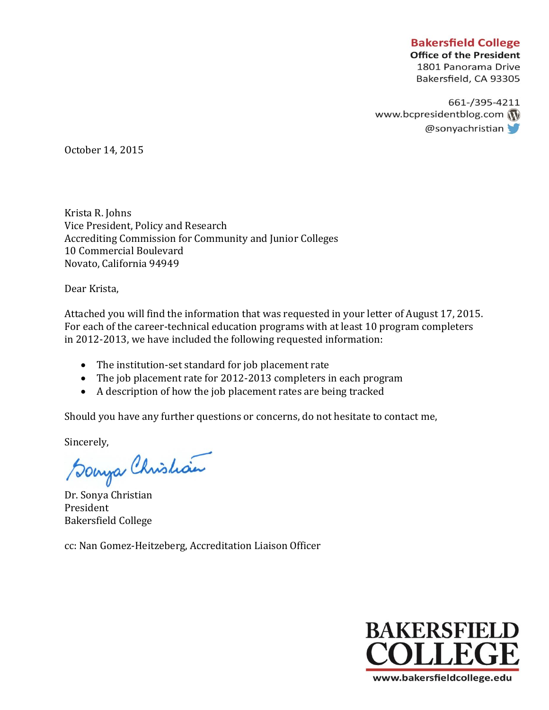## **Bakersfield College**

**Office of the President** 1801 Panorama Drive Bakersfield, CA 93305

661-/395-4211 www.bcpresidentblog.com @sonyachristian

October 14, 2015

Krista R. Johns Vice President, Policy and Research Accrediting Commission for Community and Junior Colleges 10 Commercial Boulevard Novato, California 94949

Dear Krista,

Attached you will find the information that was requested in your letter of August 17, 2015. For each of the career-technical education programs with at least 10 program completers in 2012-2013, we have included the following requested information:

- The institution-set standard for job placement rate
- The job placement rate for 2012-2013 completers in each program
- A description of how the job placement rates are being tracked

Should you have any further questions or concerns, do not hesitate to contact me,

Sincerely,

Donya Christian

Dr. Sonya Christian President Bakersfield College

cc: Nan Gomez-Heitzeberg, Accreditation Liaison Officer

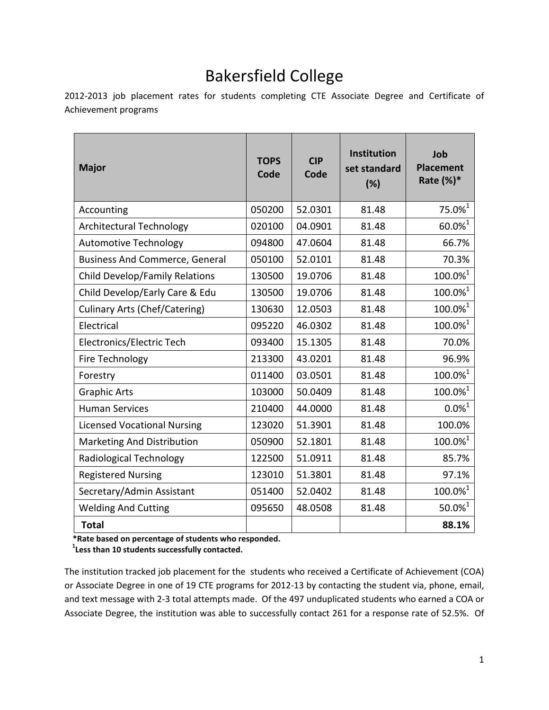## Bakersfield College

2012-2013 job placement rates for students completing CTE Associate Degree and Certificate of Achievement programs

| <b>Major</b>                          | <b>TOPS</b><br>Code | <b>CIP</b><br>Code | <b>Institution</b><br>set standard<br>(%) | Job<br><b>Placement</b><br>Rate (%)* |
|---------------------------------------|---------------------|--------------------|-------------------------------------------|--------------------------------------|
| Accounting                            | 050200              | 52.0301            | 81.48                                     | 75.0%1                               |
| <b>Architectural Technology</b>       | 020100              | 04.0901            | 81.48                                     | $60.0\%$ <sup>1</sup>                |
| <b>Automotive Technology</b>          | 094800              | 47.0604            | 81.48                                     | 66.7%                                |
| <b>Business And Commerce, General</b> | 050100              | 52.0101            | 81.48                                     | 70.3%                                |
| Child Develop/Family Relations        | 130500              | 19.0706            | 81.48                                     | $100.0\%$ <sup>1</sup>               |
| Child Develop/Early Care & Edu        | 130500              | 19.0706            | 81.48                                     | $100.0\%^{1}$                        |
| <b>Culinary Arts (Chef/Catering)</b>  | 130630              | 12.0503            | 81.48                                     | $100.0\%$ <sup>1</sup>               |
| Electrical                            | 095220              | 46.0302            | 81.48                                     | $100.0\%$ <sup>1</sup>               |
| Electronics/Electric Tech             | 093400              | 15.1305            | 81.48                                     | 70.0%                                |
| Fire Technology                       | 213300              | 43.0201            | 81.48                                     | 96.9%                                |
| Forestry                              | 011400              | 03.0501            | 81.48                                     | $100.0\%$ <sup>1</sup>               |
| <b>Graphic Arts</b>                   | 103000              | 50.0409            | 81.48                                     | $100.0\%$ <sup>1</sup>               |
| <b>Human Services</b>                 | 210400              | 44.0000            | 81.48                                     | $0.0\%$ <sup>1</sup>                 |
| <b>Licensed Vocational Nursing</b>    | 123020              | 51.3901            | 81.48                                     | 100.0%                               |
| Marketing And Distribution            | 050900              | 52.1801            | 81.48                                     | $100.0\%$ <sup>1</sup>               |
| Radiological Technology               | 122500              | 51.0911            | 81.48                                     | 85.7%                                |
| <b>Registered Nursing</b>             | 123010              | 51.3801            | 81.48                                     | 97.1%                                |
| Secretary/Admin Assistant             | 051400              | 52.0402            | 81.48                                     | $100.0\%$ <sup>1</sup>               |
| <b>Welding And Cutting</b>            | 095650              | 48.0508            | 81.48                                     | $50.0\%$ <sup>1</sup>                |
| <b>Total</b>                          |                     |                    |                                           | 88.1%                                |

 **\*Rate based on percentage of students who responded. 1**

**Less than 10 students successfully contacted.**

The institution tracked job placement for the students who received a Certificate of Achievement (COA) or Associate Degree in one of 19 CTE programs for 2012-13 by contacting the student via, phone, email, and text message with 2-3 total attempts made. Of the 497 unduplicated students who earned a COA or Associate Degree, the institution was able to successfully contact 261 for a response rate of 52.5%. Of